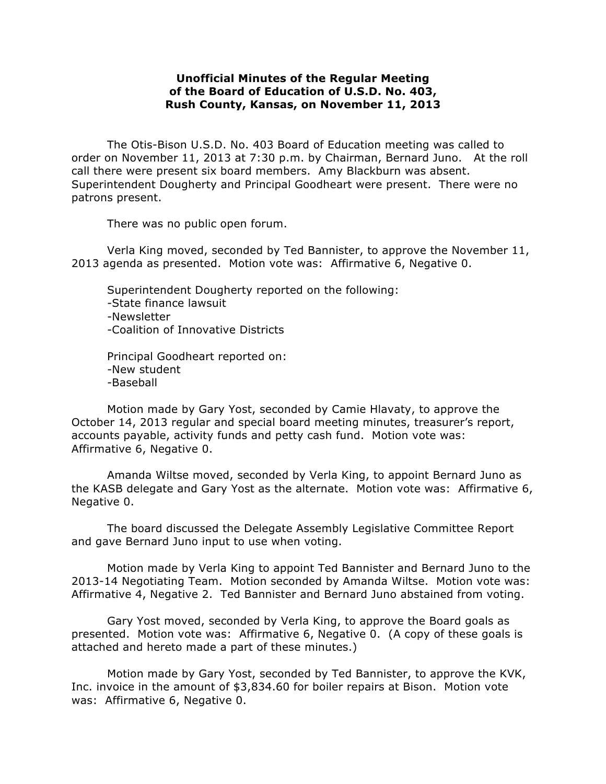## **Unofficial Minutes of the Regular Meeting of the Board of Education of U.S.D. No. 403, Rush County, Kansas, on November 11, 2013**

The Otis-Bison U.S.D. No. 403 Board of Education meeting was called to order on November 11, 2013 at 7:30 p.m. by Chairman, Bernard Juno. At the roll call there were present six board members. Amy Blackburn was absent. Superintendent Dougherty and Principal Goodheart were present. There were no patrons present.

There was no public open forum.

Verla King moved, seconded by Ted Bannister, to approve the November 11, 2013 agenda as presented. Motion vote was: Affirmative 6, Negative 0.

Superintendent Dougherty reported on the following: -State finance lawsuit -Newsletter -Coalition of Innovative Districts

Principal Goodheart reported on: -New student -Baseball

Motion made by Gary Yost, seconded by Camie Hlavaty, to approve the October 14, 2013 regular and special board meeting minutes, treasurer's report, accounts payable, activity funds and petty cash fund. Motion vote was: Affirmative 6, Negative 0.

Amanda Wiltse moved, seconded by Verla King, to appoint Bernard Juno as the KASB delegate and Gary Yost as the alternate. Motion vote was: Affirmative 6, Negative 0.

The board discussed the Delegate Assembly Legislative Committee Report and gave Bernard Juno input to use when voting.

Motion made by Verla King to appoint Ted Bannister and Bernard Juno to the 2013-14 Negotiating Team. Motion seconded by Amanda Wiltse. Motion vote was: Affirmative 4, Negative 2. Ted Bannister and Bernard Juno abstained from voting.

Gary Yost moved, seconded by Verla King, to approve the Board goals as presented. Motion vote was: Affirmative 6, Negative 0. (A copy of these goals is attached and hereto made a part of these minutes.)

Motion made by Gary Yost, seconded by Ted Bannister, to approve the KVK, Inc. invoice in the amount of \$3,834.60 for boiler repairs at Bison. Motion vote was: Affirmative 6, Negative 0.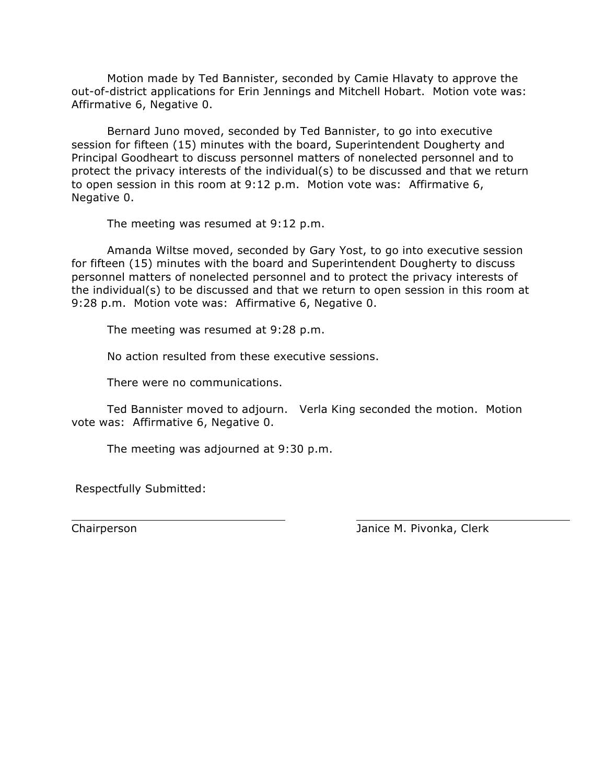Motion made by Ted Bannister, seconded by Camie Hlavaty to approve the out-of-district applications for Erin Jennings and Mitchell Hobart. Motion vote was: Affirmative 6, Negative 0.

 Bernard Juno moved, seconded by Ted Bannister, to go into executive session for fifteen (15) minutes with the board, Superintendent Dougherty and Principal Goodheart to discuss personnel matters of nonelected personnel and to protect the privacy interests of the individual(s) to be discussed and that we return to open session in this room at 9:12 p.m. Motion vote was: Affirmative 6, Negative 0.

The meeting was resumed at 9:12 p.m.

Amanda Wiltse moved, seconded by Gary Yost, to go into executive session for fifteen (15) minutes with the board and Superintendent Dougherty to discuss personnel matters of nonelected personnel and to protect the privacy interests of the individual(s) to be discussed and that we return to open session in this room at 9:28 p.m. Motion vote was: Affirmative 6, Negative 0.

The meeting was resumed at 9:28 p.m.

No action resulted from these executive sessions.

There were no communications.

Ted Bannister moved to adjourn. Verla King seconded the motion. Motion vote was: Affirmative 6, Negative 0.

The meeting was adjourned at 9:30 p.m.

Respectfully Submitted:

Chairperson Janice M. Pivonka, Clerk